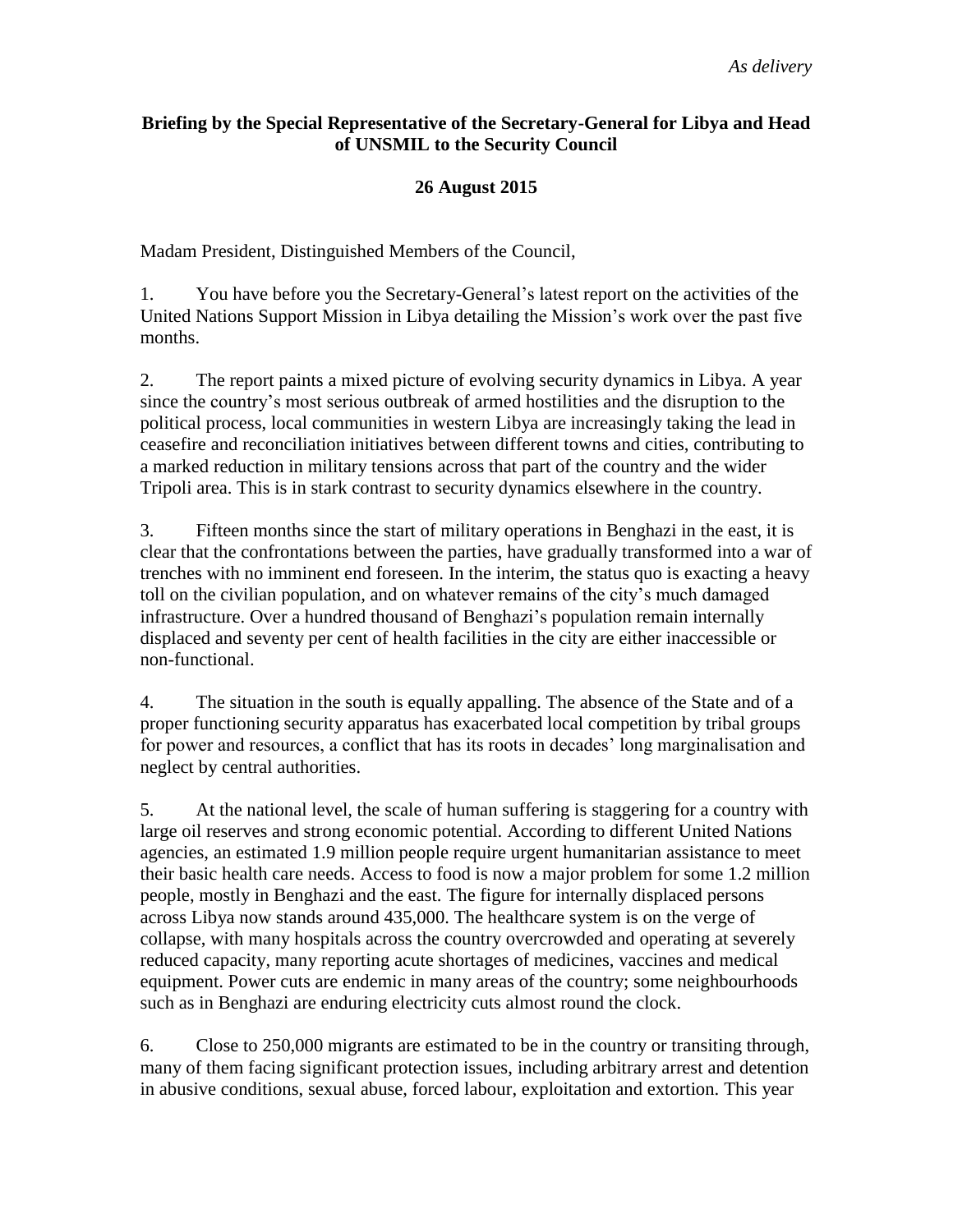#### **Briefing by the Special Representative of the Secretary-General for Libya and Head of UNSMIL to the Security Council**

### **26 August 2015**

Madam President, Distinguished Members of the Council,

1. You have before you the Secretary-General's latest report on the activities of the United Nations Support Mission in Libya detailing the Mission's work over the past five months.

2. The report paints a mixed picture of evolving security dynamics in Libya. A year since the country's most serious outbreak of armed hostilities and the disruption to the political process, local communities in western Libya are increasingly taking the lead in ceasefire and reconciliation initiatives between different towns and cities, contributing to a marked reduction in military tensions across that part of the country and the wider Tripoli area. This is in stark contrast to security dynamics elsewhere in the country.

3. Fifteen months since the start of military operations in Benghazi in the east, it is clear that the confrontations between the parties, have gradually transformed into a war of trenches with no imminent end foreseen. In the interim, the status quo is exacting a heavy toll on the civilian population, and on whatever remains of the city's much damaged infrastructure. Over a hundred thousand of Benghazi's population remain internally displaced and seventy per cent of health facilities in the city are either inaccessible or non-functional.

4. The situation in the south is equally appalling. The absence of the State and of a proper functioning security apparatus has exacerbated local competition by tribal groups for power and resources, a conflict that has its roots in decades' long marginalisation and neglect by central authorities.

5. At the national level, the scale of human suffering is staggering for a country with large oil reserves and strong economic potential. According to different United Nations agencies, an estimated 1.9 million people require urgent humanitarian assistance to meet their basic health care needs. Access to food is now a major problem for some 1.2 million people, mostly in Benghazi and the east. The figure for internally displaced persons across Libya now stands around 435,000. The healthcare system is on the verge of collapse, with many hospitals across the country overcrowded and operating at severely reduced capacity, many reporting acute shortages of medicines, vaccines and medical equipment. Power cuts are endemic in many areas of the country; some neighbourhoods such as in Benghazi are enduring electricity cuts almost round the clock.

6. Close to 250,000 migrants are estimated to be in the country or transiting through, many of them facing significant protection issues, including arbitrary arrest and detention in abusive conditions, sexual abuse, forced labour, exploitation and extortion. This year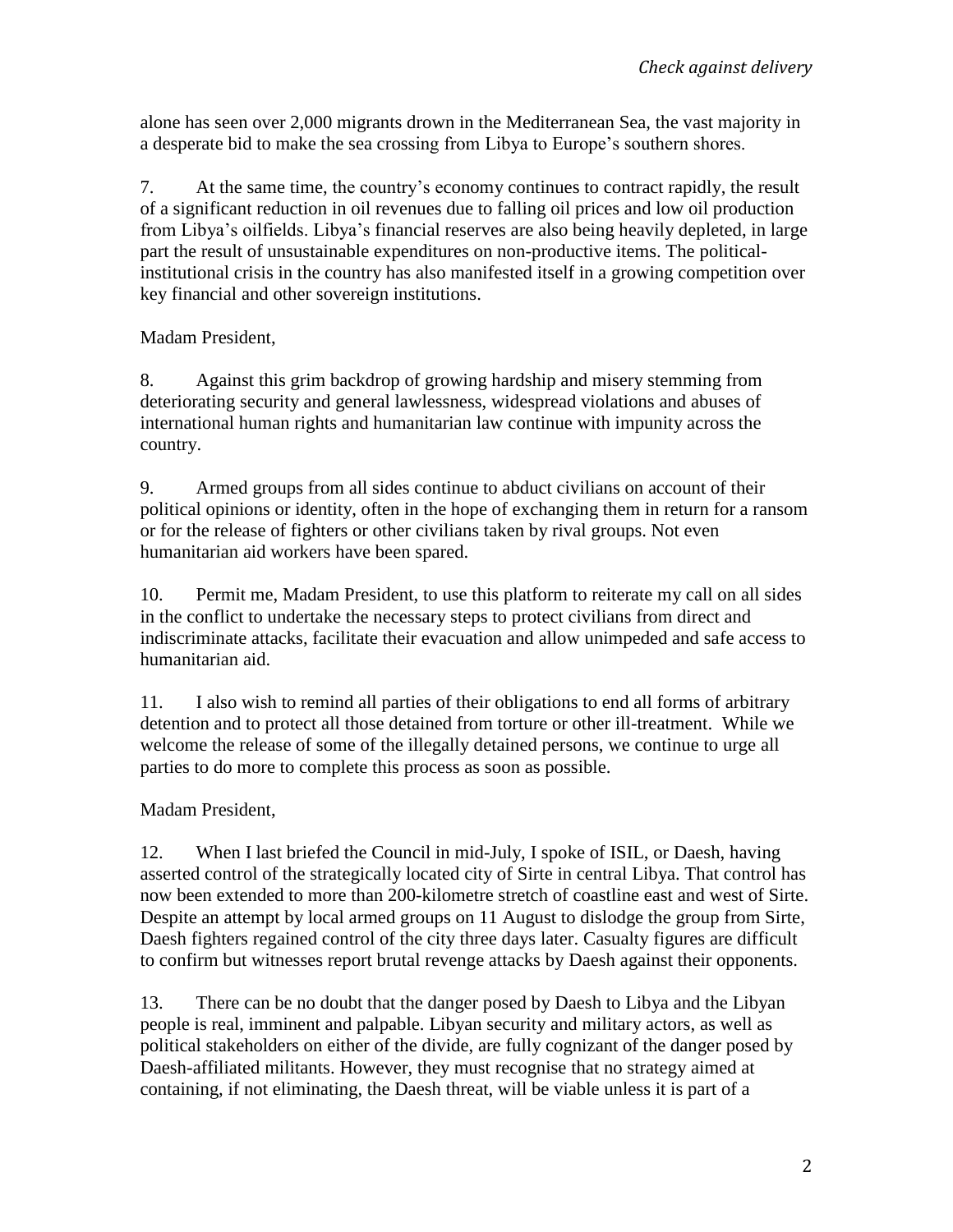alone has seen over 2,000 migrants drown in the Mediterranean Sea, the vast majority in a desperate bid to make the sea crossing from Libya to Europe's southern shores.

7. At the same time, the country's economy continues to contract rapidly, the result of a significant reduction in oil revenues due to falling oil prices and low oil production from Libya's oilfields. Libya's financial reserves are also being heavily depleted, in large part the result of unsustainable expenditures on non-productive items. The politicalinstitutional crisis in the country has also manifested itself in a growing competition over key financial and other sovereign institutions.

Madam President,

8. Against this grim backdrop of growing hardship and misery stemming from deteriorating security and general lawlessness, widespread violations and abuses of international human rights and humanitarian law continue with impunity across the country.

9. Armed groups from all sides continue to abduct civilians on account of their political opinions or identity, often in the hope of exchanging them in return for a ransom or for the release of fighters or other civilians taken by rival groups. Not even humanitarian aid workers have been spared.

10. Permit me, Madam President, to use this platform to reiterate my call on all sides in the conflict to undertake the necessary steps to protect civilians from direct and indiscriminate attacks, facilitate their evacuation and allow unimpeded and safe access to humanitarian aid.

11. I also wish to remind all parties of their obligations to end all forms of arbitrary detention and to protect all those detained from torture or other ill-treatment. While we welcome the release of some of the illegally detained persons, we continue to urge all parties to do more to complete this process as soon as possible.

Madam President,

12. When I last briefed the Council in mid-July, I spoke of ISIL, or Daesh, having asserted control of the strategically located city of Sirte in central Libya. That control has now been extended to more than 200-kilometre stretch of coastline east and west of Sirte. Despite an attempt by local armed groups on 11 August to dislodge the group from Sirte, Daesh fighters regained control of the city three days later. Casualty figures are difficult to confirm but witnesses report brutal revenge attacks by Daesh against their opponents.

13. There can be no doubt that the danger posed by Daesh to Libya and the Libyan people is real, imminent and palpable. Libyan security and military actors, as well as political stakeholders on either of the divide, are fully cognizant of the danger posed by Daesh-affiliated militants. However, they must recognise that no strategy aimed at containing, if not eliminating, the Daesh threat, will be viable unless it is part of a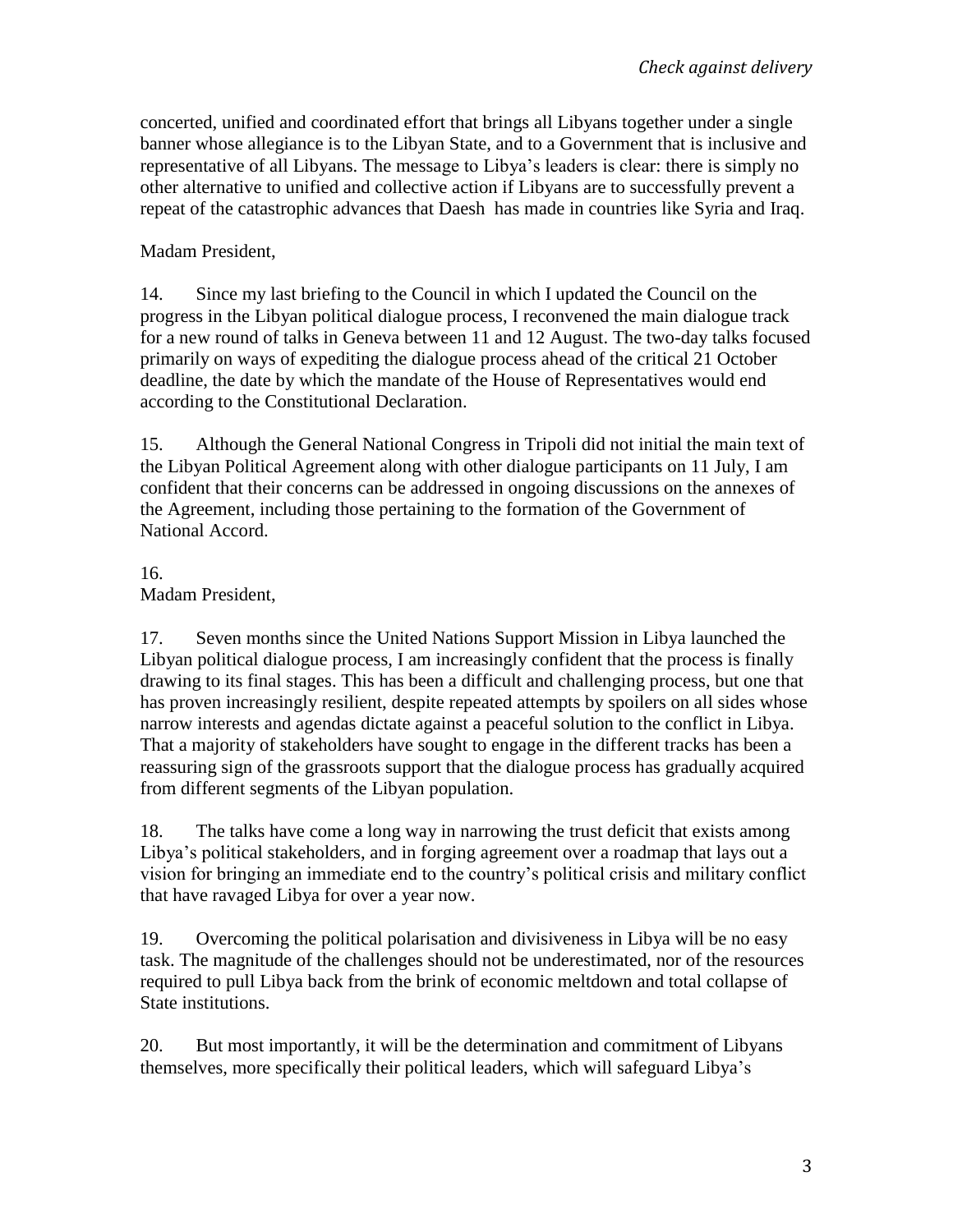concerted, unified and coordinated effort that brings all Libyans together under a single banner whose allegiance is to the Libyan State, and to a Government that is inclusive and representative of all Libyans. The message to Libya's leaders is clear: there is simply no other alternative to unified and collective action if Libyans are to successfully prevent a repeat of the catastrophic advances that Daesh has made in countries like Syria and Iraq.

## Madam President,

14. Since my last briefing to the Council in which I updated the Council on the progress in the Libyan political dialogue process, I reconvened the main dialogue track for a new round of talks in Geneva between 11 and 12 August. The two-day talks focused primarily on ways of expediting the dialogue process ahead of the critical 21 October deadline, the date by which the mandate of the House of Representatives would end according to the Constitutional Declaration.

15. Although the General National Congress in Tripoli did not initial the main text of the Libyan Political Agreement along with other dialogue participants on 11 July, I am confident that their concerns can be addressed in ongoing discussions on the annexes of the Agreement, including those pertaining to the formation of the Government of National Accord.

#### 16. Madam President,

17. Seven months since the United Nations Support Mission in Libya launched the Libyan political dialogue process, I am increasingly confident that the process is finally drawing to its final stages. This has been a difficult and challenging process, but one that has proven increasingly resilient, despite repeated attempts by spoilers on all sides whose narrow interests and agendas dictate against a peaceful solution to the conflict in Libya. That a majority of stakeholders have sought to engage in the different tracks has been a reassuring sign of the grassroots support that the dialogue process has gradually acquired from different segments of the Libyan population.

18. The talks have come a long way in narrowing the trust deficit that exists among Libya's political stakeholders, and in forging agreement over a roadmap that lays out a vision for bringing an immediate end to the country's political crisis and military conflict that have ravaged Libya for over a year now.

19. Overcoming the political polarisation and divisiveness in Libya will be no easy task. The magnitude of the challenges should not be underestimated, nor of the resources required to pull Libya back from the brink of economic meltdown and total collapse of State institutions.

20. But most importantly, it will be the determination and commitment of Libyans themselves, more specifically their political leaders, which will safeguard Libya's